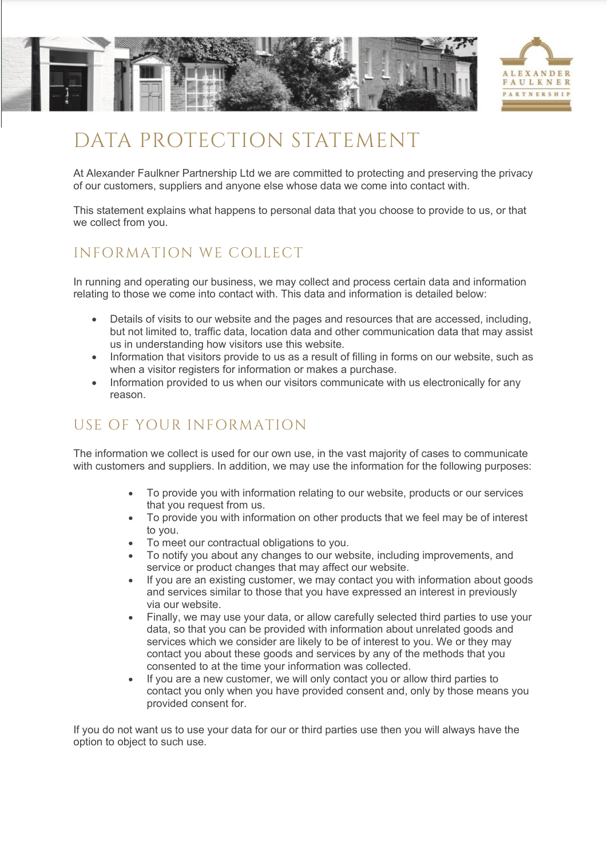

# DATA PROTECTION STATEMENT

At Alexander Faulkner Partnership Ltd we are committed to protecting and preserving the privacy of our customers, suppliers and anyone else whose data we come into contact with.

This statement explains what happens to personal data that you choose to provide to us, or that we collect from you.

#### INFORMATION WE COLLECT

In running and operating our business, we may collect and process certain data and information relating to those we come into contact with. This data and information is detailed below:

- Details of visits to our website and the pages and resources that are accessed, including, but not limited to, traffic data, location data and other communication data that may assist us in understanding how visitors use this website.
- Information that visitors provide to us as a result of filling in forms on our website, such as when a visitor registers for information or makes a purchase.
- Information provided to us when our visitors communicate with us electronically for any reason.

## USE OF YOUR INFORMATION

The information we collect is used for our own use, in the vast majority of cases to communicate with customers and suppliers. In addition, we may use the information for the following purposes:

- To provide you with information relating to our website, products or our services that you request from us.
- To provide you with information on other products that we feel may be of interest to you.
- To meet our contractual obligations to you.
- To notify you about any changes to our website, including improvements, and service or product changes that may affect our website.
- If you are an existing customer, we may contact you with information about goods and services similar to those that you have expressed an interest in previously via our website.
- Finally, we may use your data, or allow carefully selected third parties to use your data, so that you can be provided with information about unrelated goods and services which we consider are likely to be of interest to you. We or they may contact you about these goods and services by any of the methods that you consented to at the time your information was collected.
- If you are a new customer, we will only contact you or allow third parties to contact you only when you have provided consent and, only by those means you provided consent for.

If you do not want us to use your data for our or third parties use then you will always have the option to object to such use.